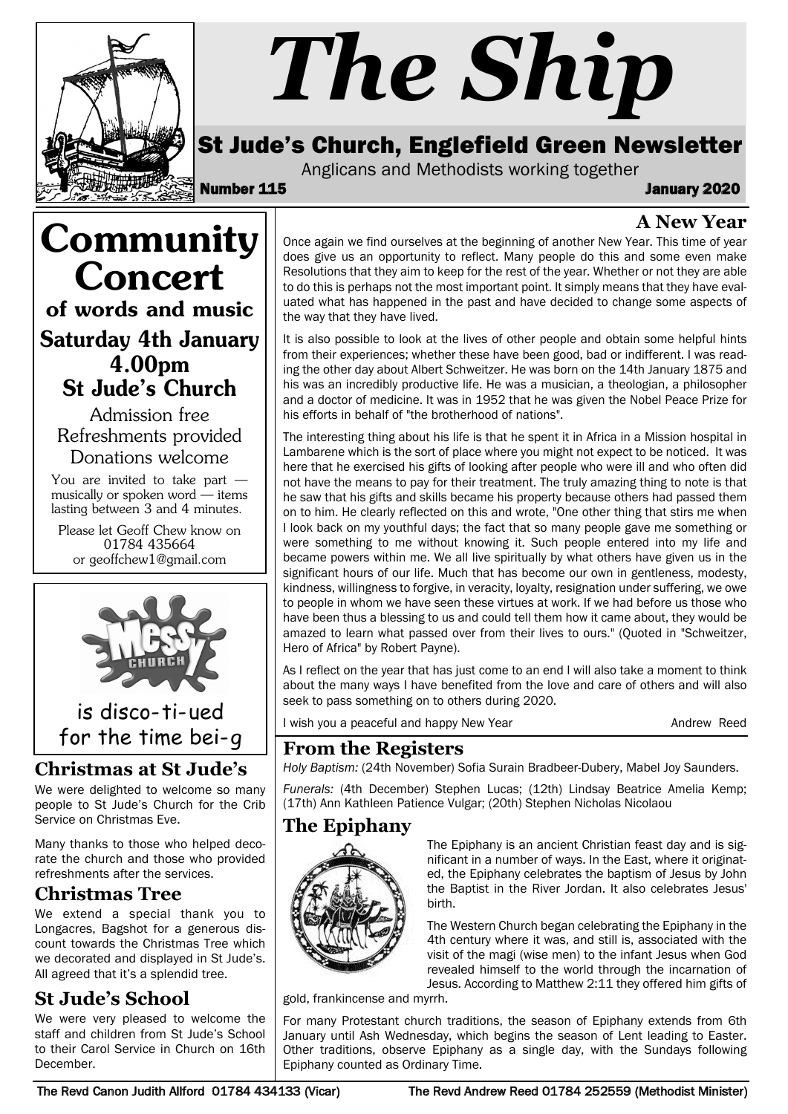

# *The Ship*

## St Jude's Church, Englefield Green Newsletter

Anglicans and Methodists working together<br>**115** January 2020

# **A New Year**

Once again we find ourselves at the beginning of another New Year. This time of year does give us an opportunity to reflect. Many people do this and some even make Resolutions that they aim to keep for the rest of the year. Whether or not they are able to do this is perhaps not the most important point. It simply means that they have evaluated what has happened in the past and have decided to change some aspects of the way that they have lived.

It is also possible to look at the lives of other people and obtain some helpful hints from their experiences; whether these have been good, bad or indifferent. I was reading the other day about Albert Schweitzer. He was born on the 14th January 1875 and his was an incredibly productive life. He was a musician, a theologian, a philosopher and a doctor of medicine. It was in 1952 that he was given the Nobel Peace Prize for his efforts in behalf of "the brotherhood of nations".

The interesting thing about his life is that he spent it in Africa in a Mission hospital in Lambarene which is the sort of place where you might not expect to be noticed. It was here that he exercised his gifts of looking after people who were ill and who often did not have the means to pay for their treatment. The truly amazing thing to note is that he saw that his gifts and skills became his property because others had passed them on to him. He clearly reflected on this and wrote, "One other thing that stirs me when I look back on my youthful days; the fact that so many people gave me something or were something to me without knowing it. Such people entered into my life and became powers within me. We all live spiritually by what others have given us in the significant hours of our life. Much that has become our own in gentleness, modesty, kindness, willingness to forgive, in veracity, loyalty, resignation under suffering, we owe to people in whom we have seen these virtues at work. If we had before us those who have been thus a blessing to us and could tell them how it came about, they would be amazed to learn what passed over from their lives to ours." (Quoted in "Schweitzer, Hero of Africa" by Robert Payne).

As I reflect on the year that has just come to an end I will also take a moment to think about the many ways I have benefited from the love and care of others and will also seek to pass something on to others during 2020.

I wish you a peaceful and happy New Year Andrew Reed Andrew Reed

### **From the Registers**

*Holy Baptism:* (24th November) Sofia Surain Bradbeer-Dubery, Mabel Joy Saunders.

*Funerals:* (4th December) Stephen Lucas; (12th) Lindsay Beatrice Amelia Kemp; (17th) Ann Kathleen Patience Vulgar; (20th) Stephen Nicholas Nicolaou

# **The Epiphany**



The Epiphany is an ancient Christian feast day and is significant in a number of ways. In the East, where it originated, the Epiphany celebrates the baptism of Jesus by John the Baptist in the River Jordan. It also celebrates Jesus' birth.

The Western Church began celebrating the Epiphany in the 4th century where it was, and still is, associated with the visit of the magi (wise men) to the infant Jesus when God revealed himself to the world through the incarnation of Jesus. According to Matthew 2:11 they offered him gifts of

gold, frankincense and myrrh.

For many Protestant church traditions, the season of Epiphany extends from 6th January until Ash Wednesday, which begins the season of Lent leading to Easter. Other traditions, observe Epiphany as a single day, with the Sundays following Epiphany counted as Ordinary Time.

Admission free Refreshments provided Donations welcome

**Community** 

Concert

of words and music

Saturday 4th January 4.00pm St Jude's Church

You are invited to take part musically or spoken word — items lasting between 3 and 4 minutes.

Please let Geoff Chew know on 01784 435664 or geoffchew1@gmail.com



is disco-ti-ued for the time bei-g

### **Christmas at St Jude's**

We were delighted to welcome so many people to St Jude's Church for the Crib Service on Christmas Eve.

Many thanks to those who helped decorate the church and those who provided refreshments after the services.

# **Christmas Tree**

We extend a special thank you to Longacres, Bagshot for a generous discount towards the Christmas Tree which we decorated and displayed in St Jude's. All agreed that it's a splendid tree.

# **St Jude's School**

We were very pleased to welcome the staff and children from St Jude's School to their Carol Service in Church on 16th December.